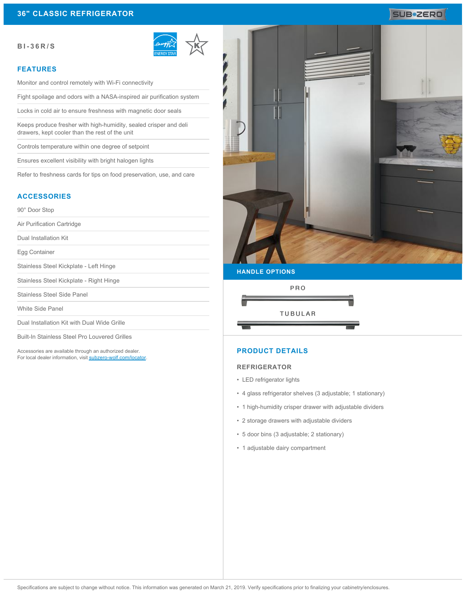#### **BI-36R/S**



### **FEATURES**

Monitor and control remotely with Wi-Fi connectivity

Fight spoilage and odors with a NASA-inspired air purification system

Locks in cold air to ensure freshness with magnetic door seals

Keeps produce fresher with high-humidity, sealed crisper and deli drawers, kept cooler than the rest of the unit

Controls temperature within one degree of setpoint

Ensures excellent visibility with bright halogen lights

Refer to freshness cards for tips on food preservation, use, and care

# **ACCESSORIES**

90° Door Stop

Air Purification Cartridge

Dual Installation Kit

Egg Container

Stainless Steel Kickplate - Left Hinge

Stainless Steel Kickplate - Right Hinge

Stainless Steel Side Panel

White Side Panel

Dual Installation Kit with Dual Wide Grille

Built-In Stainless Steel Pro Louvered Grilles

Accessories are available through an authorized dealer. For local dealer information, visit [subzero-wolf.com/locator.](http://www.subzero-wolf.com/locator)



**SUB#ZERO** 

### **HANDLE OPTIONS**



## **PRODUCT DETAILS**

### **REFRIGERATOR**

- LED refrigerator lights
- 4 glass refrigerator shelves (3 adjustable; 1 stationary)
- 1 high-humidity crisper drawer with adjustable dividers
- 2 storage drawers with adjustable dividers
- 5 door bins (3 adjustable; 2 stationary)
- 1 adjustable dairy compartment